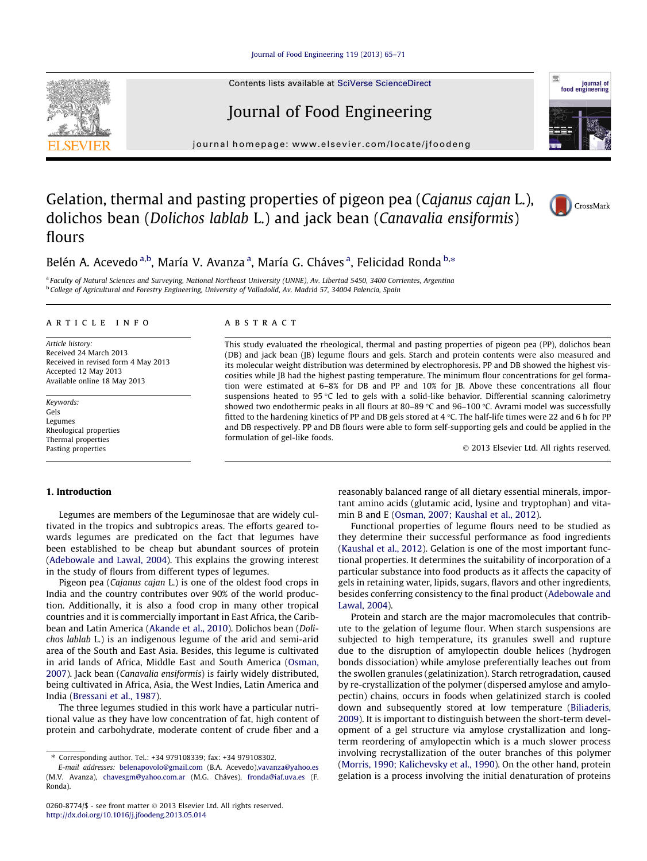[Journal of Food Engineering 119 \(2013\) 65–71](http://dx.doi.org/10.1016/j.jfoodeng.2013.05.014)

Contents lists available at [SciVerse ScienceDirect](http://www.sciencedirect.com/science/journal/02608774)

# Journal of Food Engineering

journal homepage: [www.elsevier.com/locate/jfoodeng](http://www.elsevier.com/locate/jfoodeng)

## Gelation, thermal and pasting properties of pigeon pea (Cajanus cajan L.), dolichos bean (Dolichos lablab L.) and jack bean (Canavalia ensiformis) flours

## Belén A. Acevedo <sup>a,b</sup>, María V. Avanza <sup>a</sup>, María G. Cháves <sup>a</sup>, Felicidad Ronda <sup>b,</sup>\*

a Faculty of Natural Sciences and Surveying, National Northeast University (UNNE), Av. Libertad 5450, 3400 Corrientes, Argentina <sup>b</sup> College of Agricultural and Forestry Engineering, University of Valladolid, Av. Madrid 57, 34004 Palencia, Spain

#### article info

Article history: Received 24 March 2013 Received in revised form 4 May 2013 Accepted 12 May 2013 Available online 18 May 2013

Keywords: Gels Legumes Rheological properties Thermal properties Pasting properties

### **ABSTRACT**

This study evaluated the rheological, thermal and pasting properties of pigeon pea (PP), dolichos bean (DB) and jack bean (JB) legume flours and gels. Starch and protein contents were also measured and its molecular weight distribution was determined by electrophoresis. PP and DB showed the highest viscosities while JB had the highest pasting temperature. The minimum flour concentrations for gel formation were estimated at 6–8% for DB and PP and 10% for JB. Above these concentrations all flour suspensions heated to  $95^{\circ}$ C led to gels with a solid-like behavior. Differential scanning calorimetry showed two endothermic peaks in all flours at 80–89 °C and 96–100 °C. Avrami model was successfully fitted to the hardening kinetics of PP and DB gels stored at 4  $\degree$ C. The half-life times were 22 and 6 h for PF and DB respectively. PP and DB flours were able to form self-supporting gels and could be applied in the formulation of gel-like foods.

2013 Elsevier Ltd. All rights reserved.

### 1. Introduction

Legumes are members of the Leguminosae that are widely cultivated in the tropics and subtropics areas. The efforts geared towards legumes are predicated on the fact that legumes have been established to be cheap but abundant sources of protein ([Adebowale and Lawal, 2004\)](#page-6-0). This explains the growing interest in the study of flours from different types of legumes.

Pigeon pea (Cajanus cajan L.) is one of the oldest food crops in India and the country contributes over 90% of the world production. Additionally, it is also a food crop in many other tropical countries and it is commercially important in East Africa, the Caribbean and Latin America [\(Akande et al., 2010\)](#page-6-0). Dolichos bean (Dolichos lablab L.) is an indigenous legume of the arid and semi-arid area of the South and East Asia. Besides, this legume is cultivated in arid lands of Africa, Middle East and South America [\(Osman,](#page-6-0) [2007](#page-6-0)). Jack bean (Canavalia ensiformis) is fairly widely distributed, being cultivated in Africa, Asia, the West Indies, Latin America and India [\(Bressani et al., 1987\)](#page-6-0).

The three legumes studied in this work have a particular nutritional value as they have low concentration of fat, high content of protein and carbohydrate, moderate content of crude fiber and a

reasonably balanced range of all dietary essential minerals, important amino acids (glutamic acid, lysine and tryptophan) and vitamin B and E ([Osman, 2007; Kaushal et al., 2012\)](#page-6-0).

Functional properties of legume flours need to be studied as they determine their successful performance as food ingredients ([Kaushal et al., 2012\)](#page-6-0). Gelation is one of the most important functional properties. It determines the suitability of incorporation of a particular substance into food products as it affects the capacity of gels in retaining water, lipids, sugars, flavors and other ingredients, besides conferring consistency to the final product ([Adebowale and](#page-6-0) [Lawal, 2004\)](#page-6-0).

Protein and starch are the major macromolecules that contribute to the gelation of legume flour. When starch suspensions are subjected to high temperature, its granules swell and rupture due to the disruption of amylopectin double helices (hydrogen bonds dissociation) while amylose preferentially leaches out from the swollen granules (gelatinization). Starch retrogradation, caused by re-crystallization of the polymer (dispersed amylose and amylopectin) chains, occurs in foods when gelatinized starch is cooled down and subsequently stored at low temperature ([Biliaderis,](#page-6-0) [2009](#page-6-0)). It is important to distinguish between the short-term development of a gel structure via amylose crystallization and longterm reordering of amylopectin which is a much slower process involving recrystallization of the outer branches of this polymer ([Morris, 1990; Kalichevsky et al., 1990](#page-6-0)). On the other hand, protein gelation is a process involving the initial denaturation of proteins





CrossMark

<sup>⇑</sup> Corresponding author. Tel.: +34 979108339; fax: +34 979108302.

E-mail addresses: [belenapovolo@gmail.com](mailto:belenapovolo@gmail.com) (B.A. Acevedo),[vavanza@yahoo.es](mailto:vavanza@yahoo.es) (M.V. Avanza), [chavesgm@yahoo.com.ar](mailto:chavesgm@yahoo.com.ar) (M.G. Cháves), [fronda@iaf.uva.es](mailto:fronda@iaf.uva.es) (F. Ronda).

<sup>0260-8774/\$ -</sup> see front matter © 2013 Elsevier Ltd. All rights reserved. <http://dx.doi.org/10.1016/j.jfoodeng.2013.05.014>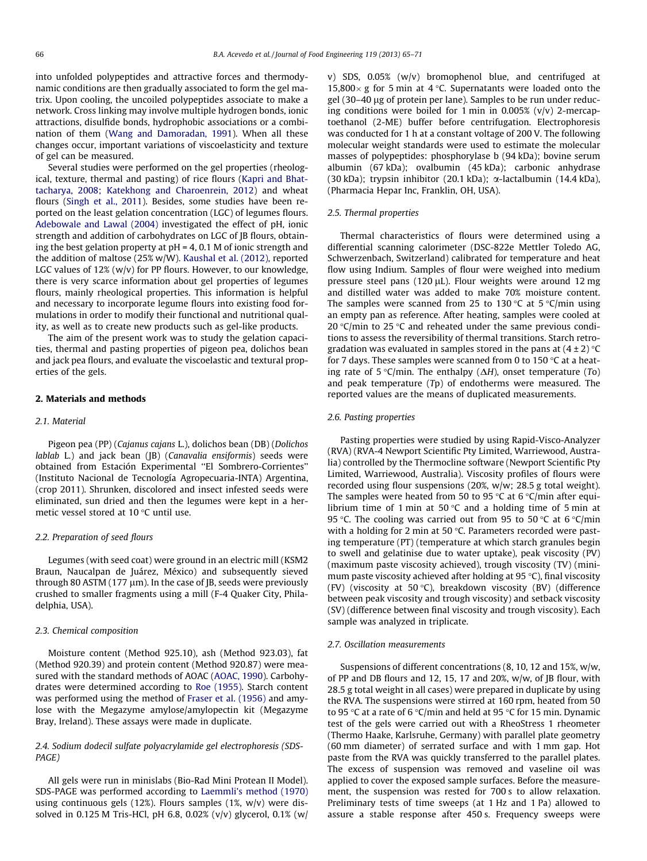into unfolded polypeptides and attractive forces and thermodynamic conditions are then gradually associated to form the gel matrix. Upon cooling, the uncoiled polypeptides associate to make a network. Cross linking may involve multiple hydrogen bonds, ionic attractions, disulfide bonds, hydrophobic associations or a combination of them [\(Wang and Damoradan, 1991\)](#page-6-0). When all these changes occur, important variations of viscoelasticity and texture of gel can be measured.

Several studies were performed on the gel properties (rheological, texture, thermal and pasting) of rice flours ([Kapri and Bhat](#page-6-0)[tacharya, 2008; Katekhong and Charoenrein, 2012\)](#page-6-0) and wheat flours [\(Singh et al., 2011](#page-6-0)). Besides, some studies have been reported on the least gelation concentration (LGC) of legumes flours. [Adebowale and Lawal \(2004\)](#page-6-0) investigated the effect of pH, ionic strength and addition of carbohydrates on LGC of JB flours, obtaining the best gelation property at  $pH = 4$ , 0.1 M of ionic strength and the addition of maltose (25% w/W). [Kaushal et al. \(2012\),](#page-6-0) reported LGC values of 12% (w/v) for PP flours. However, to our knowledge, there is very scarce information about gel properties of legumes flours, mainly rheological properties. This information is helpful and necessary to incorporate legume flours into existing food formulations in order to modify their functional and nutritional quality, as well as to create new products such as gel-like products.

The aim of the present work was to study the gelation capacities, thermal and pasting properties of pigeon pea, dolichos bean and jack pea flours, and evaluate the viscoelastic and textural properties of the gels.

#### 2. Materials and methods

#### 2.1. Material

Pigeon pea (PP) (Cajanus cajans L.), dolichos bean (DB) (Dolichos lablab L.) and jack bean (JB) (Canavalia ensiformis) seeds were obtained from Estación Experimental ''El Sombrero-Corrientes'' (Instituto Nacional de Tecnología Agropecuaria-INTA) Argentina, (crop 2011). Shrunken, discolored and insect infested seeds were eliminated, sun dried and then the legumes were kept in a hermetic vessel stored at 10 °C until use.

#### 2.2. Preparation of seed flours

Legumes (with seed coat) were ground in an electric mill (KSM2 Braun, Naucalpan de Juárez, México) and subsequently sieved through 80 ASTM  $(177 \mu m)$ . In the case of [B, seeds were previously crushed to smaller fragments using a mill (F-4 Quaker City, Philadelphia, USA).

#### 2.3. Chemical composition

Moisture content (Method 925.10), ash (Method 923.03), fat (Method 920.39) and protein content (Method 920.87) were measured with the standard methods of AOAC [\(AOAC, 1990\)](#page-6-0). Carbohydrates were determined according to [Roe \(1955\)](#page-6-0). Starch content was performed using the method of [Fraser et al. \(1956\)](#page-6-0) and amylose with the Megazyme amylose/amylopectin kit (Megazyme Bray, Ireland). These assays were made in duplicate.

## 2.4. Sodium dodecil sulfate polyacrylamide gel electrophoresis (SDS-PAGE)

All gels were run in minislabs (Bio-Rad Mini Protean II Model). SDS-PAGE was performed according to [Laemmli's method \(1970\)](#page-6-0) using continuous gels (12%). Flours samples (1%, w/v) were dissolved in 0.125 M Tris-HCl, pH 6.8, 0.02% (v/v) glycerol, 0.1% (w/

v) SDS, 0.05% (w/v) bromophenol blue, and centrifuged at 15,800 $\times$  g for 5 min at 4 °C. Supernatants were loaded onto the gel (30–40 ug of protein per lane). Samples to be run under reducing conditions were boiled for 1 min in 0.005%  $(v/v)$  2-mercaptoethanol (2-ME) buffer before centrifugation. Electrophoresis was conducted for 1 h at a constant voltage of 200 V. The following molecular weight standards were used to estimate the molecular masses of polypeptides: phosphorylase b (94 kDa); bovine serum albumin (67 kDa); ovalbumin (45 kDa); carbonic anhydrase (30 kDa); trypsin inhibitor (20.1 kDa); a-lactalbumin (14.4 kDa), (Pharmacia Hepar Inc, Franklin, OH, USA).

#### 2.5. Thermal properties

Thermal characteristics of flours were determined using a differential scanning calorimeter (DSC-822e Mettler Toledo AG, Schwerzenbach, Switzerland) calibrated for temperature and heat flow using Indium. Samples of flour were weighed into medium pressure steel pans (120  $\mu$ L). Flour weights were around 12 mg and distilled water was added to make 70% moisture content. The samples were scanned from 25 to 130 °C at 5 °C/min using an empty pan as reference. After heating, samples were cooled at 20  $\degree$ C/min to 25  $\degree$ C and reheated under the same previous conditions to assess the reversibility of thermal transitions. Starch retrogradation was evaluated in samples stored in the pans at  $(4\pm2)\,^{\circ}\mathrm{C}$ for 7 days. These samples were scanned from 0 to 150  $\degree$ C at a heating rate of 5 °C/min. The enthalpy ( $\Delta H$ ), onset temperature (To) and peak temperature (Tp) of endotherms were measured. The reported values are the means of duplicated measurements.

#### 2.6. Pasting properties

Pasting properties were studied by using Rapid-Visco-Analyzer (RVA) (RVA-4 Newport Scientific Pty Limited, Warriewood, Australia) controlled by the Thermocline software (Newport Scientific Pty Limited, Warriewood, Australia). Viscosity profiles of flours were recorded using flour suspensions (20%, w/w; 28.5 g total weight). The samples were heated from 50 to 95 °C at 6 °C/min after equilibrium time of 1 min at 50  $\degree$ C and a holding time of 5 min at 95 °C. The cooling was carried out from 95 to 50 °C at 6 °C/min with a holding for 2 min at 50  $\degree$ C. Parameters recorded were pasting temperature (PT) (temperature at which starch granules begin to swell and gelatinise due to water uptake), peak viscosity (PV) (maximum paste viscosity achieved), trough viscosity (TV) (minimum paste viscosity achieved after holding at 95 °C), final viscosity (FV) (viscosity at 50 °C), breakdown viscosity (BV) (difference between peak viscosity and trough viscosity) and setback viscosity (SV) (difference between final viscosity and trough viscosity). Each sample was analyzed in triplicate.

#### 2.7. Oscillation measurements

Suspensions of different concentrations (8, 10, 12 and 15%, w/w, of PP and DB flours and 12, 15, 17 and 20%, w/w, of JB flour, with 28.5 g total weight in all cases) were prepared in duplicate by using the RVA. The suspensions were stirred at 160 rpm, heated from 50 to 95 °C at a rate of 6 °C/min and held at 95 °C for 15 min. Dynamic test of the gels were carried out with a RheoStress 1 rheometer (Thermo Haake, Karlsruhe, Germany) with parallel plate geometry (60 mm diameter) of serrated surface and with 1 mm gap. Hot paste from the RVA was quickly transferred to the parallel plates. The excess of suspension was removed and vaseline oil was applied to cover the exposed sample surfaces. Before the measurement, the suspension was rested for 700 s to allow relaxation. Preliminary tests of time sweeps (at 1 Hz and 1 Pa) allowed to assure a stable response after 450 s. Frequency sweeps were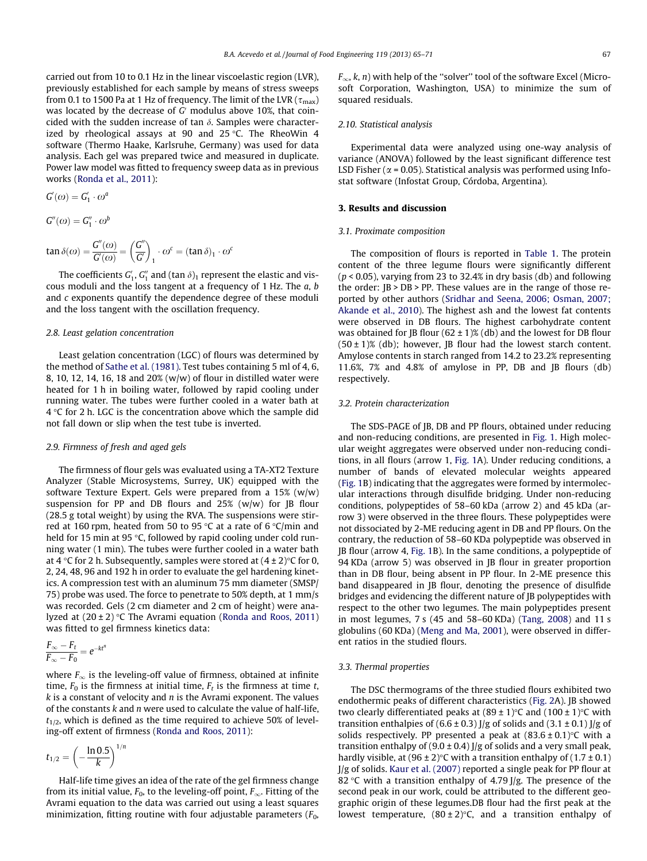carried out from 10 to 0.1 Hz in the linear viscoelastic region (LVR), previously established for each sample by means of stress sweeps from 0.1 to 1500 Pa at 1 Hz of frequency. The limit of the LVR ( $\tau_{\rm max}$ ) was located by the decrease of  $G'$  modulus above 10%, that coincided with the sudden increase of tan  $\delta$ . Samples were characterized by rheological assays at 90 and 25 °C. The RheoWin 4  $\,$ software (Thermo Haake, Karlsruhe, Germany) was used for data analysis. Each gel was prepared twice and measured in duplicate. Power law model was fitted to frequency sweep data as in previous works [\(Ronda et al., 2011\)](#page-6-0):

$$
G'(\omega) = G'_1 \cdot \omega^a
$$
  
\n
$$
G''(\omega) = G''_1 \cdot \omega^b
$$
  
\n
$$
\tan \delta(\omega) = \frac{G''(\omega)}{G'(\omega)} = \left(\frac{G''}{G'}\right)_1 \cdot \omega^c = (\tan \delta)_1 \cdot \omega^c
$$

The coefficients  $G_1'$ ,  $G_1''$  and (tan  $\delta)_1$  represent the elastic and viscous moduli and the loss tangent at a frequency of 1 Hz. The a, b and c exponents quantify the dependence degree of these moduli and the loss tangent with the oscillation frequency.

#### 2.8. Least gelation concentration

Least gelation concentration (LGC) of flours was determined by the method of [Sathe et al. \(1981\).](#page-6-0) Test tubes containing 5 ml of 4, 6, 8, 10, 12, 14, 16, 18 and 20% (w/w) of flour in distilled water were heated for 1 h in boiling water, followed by rapid cooling under running water. The tubes were further cooled in a water bath at 4 °C for 2 h. LGC is the concentration above which the sample did not fall down or slip when the test tube is inverted.

#### 2.9. Firmness of fresh and aged gels

The firmness of flour gels was evaluated using a TA-XT2 Texture Analyzer (Stable Microsystems, Surrey, UK) equipped with the software Texture Expert. Gels were prepared from a 15% (w/w) suspension for PP and DB flours and  $25%$  (w/w) for JB flour (28.5 g total weight) by using the RVA. The suspensions were stirred at 160 rpm, heated from 50 to 95 °C at a rate of 6 °C/min and held for 15 min at 95 °C, followed by rapid cooling under cold running water (1 min). The tubes were further cooled in a water bath at 4 °C for 2 h. Subsequently, samples were stored at (4 ± 2)°C for 0, 2, 24, 48, 96 and 192 h in order to evaluate the gel hardening kinetics. A compression test with an aluminum 75 mm diameter (SMSP/ 75) probe was used. The force to penetrate to 50% depth, at 1 mm/s was recorded. Gels (2 cm diameter and 2 cm of height) were analyzed at  $(20\pm2)\,^{\circ}\mathsf{C}$  The Avrami equation ([Ronda and Roos, 2011\)](#page-6-0) was fitted to gel firmness kinetics data:

$$
\frac{F_{\infty} - F_t}{F_{\infty} - F_0} = e^{-kt^n}
$$

where  $F_{\infty}$  is the leveling-off value of firmness, obtained at infinite time,  $F_0$  is the firmness at initial time,  $F_t$  is the firmness at time t,  $k$  is a constant of velocity and  $n$  is the Avrami exponent. The values of the constants  $k$  and  $n$  were used to calculate the value of half-life,  $t_{1/2}$ , which is defined as the time required to achieve 50% of leveling-off extent of firmness [\(Ronda and Roos, 2011](#page-6-0)):

$$
t_{1/2} = \left(-\frac{\ln 0.5}{k}\right)^{1/n}
$$

Half-life time gives an idea of the rate of the gel firmness change from its initial value,  $F_0$ , to the leveling-off point,  $F_{\infty}$ . Fitting of the Avrami equation to the data was carried out using a least squares minimization, fitting routine with four adjustable parameters  $(F_0,$   $F_{\infty}$ , k, n) with help of the "solver" tool of the software Excel (Microsoft Corporation, Washington, USA) to minimize the sum of squared residuals.

#### 2.10. Statistical analysis

Experimental data were analyzed using one-way analysis of variance (ANOVA) followed by the least significant difference test LSD Fisher ( $\alpha$  = 0.05). Statistical analysis was performed using Infostat software (Infostat Group, Córdoba, Argentina).

#### 3. Results and discussion

#### 3.1. Proximate composition

The composition of flours is reported in [Table 1](#page-3-0). The protein content of the three legume flours were significantly different  $(p < 0.05)$ , varying from 23 to 32.4% in dry basis (db) and following the order: JB > DB > PP. These values are in the range of those reported by other authors [\(Sridhar and Seena, 2006; Osman, 2007;](#page-6-0) [Akande et al., 2010](#page-6-0)). The highest ash and the lowest fat contents were observed in DB flours. The highest carbohydrate content was obtained for JB flour ( $62 \pm 1$ )% (db) and the lowest for DB flour  $(50 \pm 1)$ % (db); however, JB flour had the lowest starch content. Amylose contents in starch ranged from 14.2 to 23.2% representing 11.6%, 7% and 4.8% of amylose in PP, DB and JB flours (db) respectively.

#### 3.2. Protein characterization

The SDS-PAGE of JB, DB and PP flours, obtained under reducing and non-reducing conditions, are presented in [Fig. 1](#page-3-0). High molecular weight aggregates were observed under non-reducing conditions, in all flours (arrow 1, [Fig. 1](#page-3-0)A). Under reducing conditions, a number of bands of elevated molecular weights appeared ([Fig. 1](#page-3-0)B) indicating that the aggregates were formed by intermolecular interactions through disulfide bridging. Under non-reducing conditions, polypeptides of 58–60 kDa (arrow 2) and 45 kDa (arrow 3) were observed in the three flours. These polypeptides were not dissociated by 2-ME reducing agent in DB and PP flours. On the contrary, the reduction of 58–60 KDa polypeptide was observed in JB flour (arrow 4, [Fig. 1B](#page-3-0)). In the same conditions, a polypeptide of 94 KDa (arrow 5) was observed in JB flour in greater proportion than in DB flour, being absent in PP flour. In 2-ME presence this band disappeared in JB flour, denoting the presence of disulfide bridges and evidencing the different nature of JB polypeptides with respect to the other two legumes. The main polypeptides present in most legumes, 7 s (45 and 58–60 KDa) ([Tang, 2008](#page-6-0)) and 11 s globulins (60 KDa) [\(Meng and Ma, 2001](#page-6-0)), were observed in different ratios in the studied flours.

#### 3.3. Thermal properties

The DSC thermograms of the three studied flours exhibited two endothermic peaks of different characteristics ([Fig. 2A](#page-3-0)). JB showed two clearly differentiated peaks at (89  $\pm$  1)°C and (100  $\pm$  1)°C with transition enthalpies of  $(6.6 \pm 0.3)$  J/g of solids and  $(3.1 \pm 0.1)$  J/g of solids respectively. PP presented a peak at  $(83.6 \pm 0.1)$  °C with a transition enthalpy of  $(9.0 \pm 0.4)$  J/g of solids and a very small peak, hardly visible, at  $(96 \pm 2)$ °C with a transition enthalpy of  $(1.7 \pm 0.1)$ J/g of solids. [Kaur et al. \(2007\)](#page-6-0) reported a single peak for PP flour at 82 °C with a transition enthalpy of 4.79 J/g. The presence of the second peak in our work, could be attributed to the different geographic origin of these legumes.DB flour had the first peak at the lowest temperature,  $(80\pm2)$ °C, and a transition enthalpy of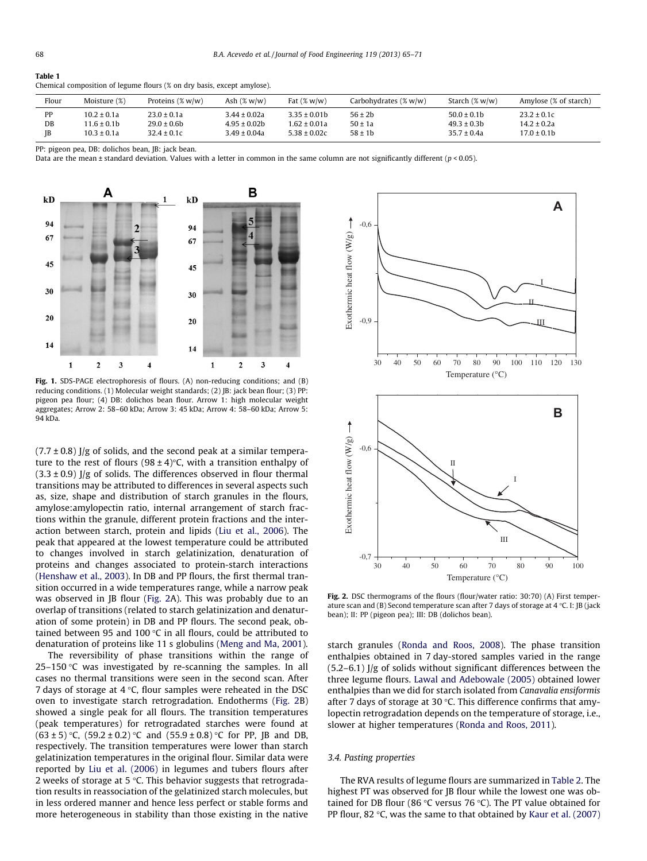#### <span id="page-3-0"></span>Table 1

Chemical composition of legume flours (% on dry basis, except amylose).

| Flour | Moisture (%)    | Proteins $(\% w/w)$ | Ash $(\% w/w)$   | Fat $(\% w/w)$   | Carbohydrates $(\% w/w)$ | Starch $(\% w/w)$ | Amylose (% of starch) |
|-------|-----------------|---------------------|------------------|------------------|--------------------------|-------------------|-----------------------|
| рp    | $10.2 \pm 0.1a$ | $23.0 \pm 0.1a$     | $3.44 \pm 0.02a$ | $3.35 \pm 0.01$  | $56 \pm 2b$              | $50.0 \pm 0.1$    | $23.2 \pm 0.1c$       |
| DB    | $11.6 \pm 0.1$  | $29.0 \pm 0.6$ b    | $4.95 \pm 0.02b$ | 1.62 ± 0.01a     | $50 \pm 1a$              | $49.3 \pm 0.3$    | $14.2 \pm 0.2a$       |
| IB    | $10.3 \pm 0.1a$ | $32.4 \pm 0.1c$     | $3.49 \pm 0.04a$ | $5.38 \pm 0.02c$ | $58 \pm 1$               | $35.7 \pm 0.4a$   | $17.0 \pm 0.1$ b      |

PP: pigeon pea, DB: dolichos bean, JB: jack bean.

Data are the mean ± standard deviation. Values with a letter in common in the same column are not significantly different ( $p < 0.05$ ).



Fig. 1. SDS-PAGE electrophoresis of flours. (A) non-reducing conditions; and (B) reducing conditions. (1) Molecular weight standards; (2) JB: jack bean flour; (3) PP: pigeon pea flour; (4) DB: dolichos bean flour. Arrow 1: high molecular weight aggregates; Arrow 2: 58–60 kDa; Arrow 3: 45 kDa; Arrow 4: 58–60 kDa; Arrow 5: 94 kDa.

 $(7.7 \pm 0.8)$  J/g of solids, and the second peak at a similar temperature to the rest of flours (98 ± 4)°C, with a transition enthalpy of  $(3.3 \pm 0.9)$  J/g of solids. The differences observed in flour thermal transitions may be attributed to differences in several aspects such as, size, shape and distribution of starch granules in the flours, amylose:amylopectin ratio, internal arrangement of starch fractions within the granule, different protein fractions and the interaction between starch, protein and lipids ([Liu et al., 2006](#page-6-0)). The peak that appeared at the lowest temperature could be attributed to changes involved in starch gelatinization, denaturation of proteins and changes associated to protein-starch interactions ([Henshaw et al., 2003](#page-6-0)). In DB and PP flours, the first thermal transition occurred in a wide temperatures range, while a narrow peak was observed in JB flour (Fig. 2A). This was probably due to an overlap of transitions (related to starch gelatinization and denaturation of some protein) in DB and PP flours. The second peak, obtained between 95 and 100 °C in all flours, could be attributed to denaturation of proteins like 11 s globulins ([Meng and Ma, 2001\)](#page-6-0).

The reversibility of phase transitions within the range of 25–150 °C was investigated by re-scanning the samples. In all cases no thermal transitions were seen in the second scan. After 7 days of storage at 4 °C, flour samples were reheated in the DSC oven to investigate starch retrogradation. Endotherms (Fig. 2B) showed a single peak for all flours. The transition temperatures (peak temperatures) for retrogradated starches were found at  $(63 \pm 5)$  °C,  $(59.2 \pm 0.2)$  °C and  $(55.9 \pm 0.8)$  °C for PP, JB and DB, respectively. The transition temperatures were lower than starch gelatinization temperatures in the original flour. Similar data were reported by [Liu et al. \(2006\)](#page-6-0) in legumes and tubers flours after 2 weeks of storage at 5 °C. This behavior suggests that retrogradation results in reassociation of the gelatinized starch molecules, but in less ordered manner and hence less perfect or stable forms and more heterogeneous in stability than those existing in the native



Fig. 2. DSC thermograms of the flours (flour/water ratio: 30:70) (A) First temperature scan and (B) Second temperature scan after 7 days of storage at 4  $\degree$ C. I: JB (jack bean); II: PP (pigeon pea); III: DB (dolichos bean).

starch granules ([Ronda and Roos, 2008\)](#page-6-0). The phase transition enthalpies obtained in 7 day-stored samples varied in the range  $(5.2-6.1)$  J/g of solids without significant differences between the three legume flours. [Lawal and Adebowale \(2005\)](#page-6-0) obtained lower enthalpies than we did for starch isolated from Canavalia ensiformis after 7 days of storage at 30  $\degree$ C. This difference confirms that amylopectin retrogradation depends on the temperature of storage, i.e., slower at higher temperatures [\(Ronda and Roos, 2011](#page-6-0)).

#### 3.4. Pasting properties

The RVA results of legume flours are summarized in [Table 2](#page-4-0). The highest PT was observed for JB flour while the lowest one was obtained for DB flour (86 °C versus 76 °C). The PT value obtained for PP flour, 82  $\degree$ C, was the same to that obtained by [Kaur et al. \(2007\)](#page-6-0)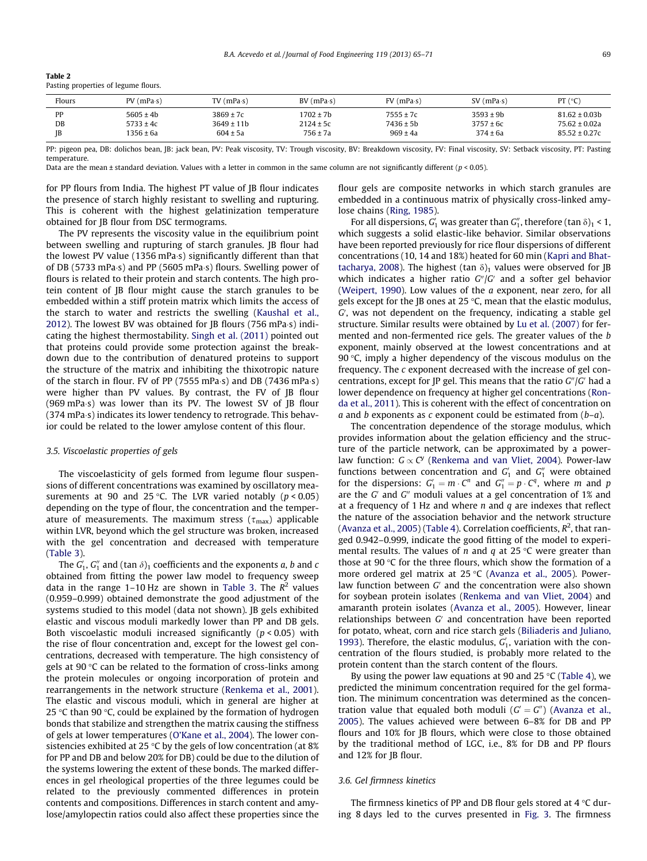| Table 2                              |  |
|--------------------------------------|--|
| Pasting properties of legume flours. |  |

<span id="page-4-0"></span> $\sim$  200  $\sim$ 

| Flours    | $PV$ (mPa $\cdot$ s) | $TV$ (mPa $\cdot$ s) | BV(mPa·s)    | $FV$ (mPa $\cdot$ s) | $SV$ (mPa $\cdot$ s) | PT $(^{\circ}C)$  |
|-----------|----------------------|----------------------|--------------|----------------------|----------------------|-------------------|
| <b>PP</b> | $5605 \pm 4b$        | $3869 \pm 7c$        | 1702 ± 7b    | $7555 \pm 7c$        | $3593 \pm 9b$        | $81.62 \pm 0.03$  |
| DB        | $5733 \pm 4c$        | $3649 \pm 11b$       | 2124 ± 5c    | $7436 \pm 5b$        | $3757 \pm 6c$        | $75.62 \pm 0.02a$ |
| <b>IB</b> | 1356 ± 6a            | $604 \pm 5a$         | $756 \pm 7a$ | $969 \pm 4a$         | $374 \pm 6a$         | $85.52 \pm 0.27c$ |

PP: pigeon pea, DB: dolichos bean, JB: jack bean, PV: Peak viscosity, TV: Trough viscosity, BV: Breakdown viscosity, FV: Final viscosity, SV: Setback viscosity, PT: Pasting temperature.

Data are the mean ± standard deviation. Values with a letter in common in the same column are not significantly different  $(p < 0.05)$ .

for PP flours from India. The highest PT value of JB flour indicates the presence of starch highly resistant to swelling and rupturing. This is coherent with the highest gelatinization temperature obtained for JB flour from DSC termograms.

The PV represents the viscosity value in the equilibrium point between swelling and rupturing of starch granules. JB flour had the lowest PV value (1356 mPa·s) significantly different than that of DB (5733 mPa·s) and PP (5605 mPa·s) flours. Swelling power of flours is related to their protein and starch contents. The high protein content of JB flour might cause the starch granules to be embedded within a stiff protein matrix which limits the access of the starch to water and restricts the swelling ([Kaushal et al.,](#page-6-0) [2012\)](#page-6-0). The lowest BV was obtained for JB flours (756 mPa $\cdot$ s) indicating the highest thermostability. [Singh et al. \(2011\)](#page-6-0) pointed out that proteins could provide some protection against the breakdown due to the contribution of denatured proteins to support the structure of the matrix and inhibiting the thixotropic nature of the starch in flour. FV of PP (7555 mPa·s) and DB (7436 mPa·s) were higher than PV values. By contrast, the FV of JB flour (969 mPa $\cdot$ s) was lower than its PV. The lowest SV of JB flour (374 mPa $\cdot$ s) indicates its lower tendency to retrograde. This behavior could be related to the lower amylose content of this flour.

#### 3.5. Viscoelastic properties of gels

The viscoelasticity of gels formed from legume flour suspensions of different concentrations was examined by oscillatory measurements at 90 and 25 °C. The LVR varied notably  $(p < 0.05)$ depending on the type of flour, the concentration and the temperature of measurements. The maximum stress ( $\tau_{\rm max}$ ) applicable within LVR, beyond which the gel structure was broken, increased with the gel concentration and decreased with temperature ([Table 3](#page-5-0)).

The  $G_1'$ ,  $G_1''$  and (tan  $\delta$ )<sub>1</sub> coefficients and the exponents a, b and c obtained from fitting the power law model to frequency sweep data in the range 1–10 Hz are shown in [Table 3](#page-5-0). The  $R^2$  values (0.959–0.999) obtained demonstrate the good adjustment of the systems studied to this model (data not shown). JB gels exhibited elastic and viscous moduli markedly lower than PP and DB gels. Both viscoelastic moduli increased significantly  $(p < 0.05)$  with the rise of flour concentration and, except for the lowest gel concentrations, decreased with temperature. The high consistency of gels at 90 °C can be related to the formation of cross-links among the protein molecules or ongoing incorporation of protein and rearrangements in the network structure [\(Renkema et al., 2001\)](#page-6-0). The elastic and viscous moduli, which in general are higher at 25 °C than 90 °C, could be explained by the formation of hydrogen bonds that stabilize and strengthen the matrix causing the stiffness of gels at lower temperatures [\(O'Kane et al., 2004](#page-6-0)). The lower consistencies exhibited at 25 °C by the gels of low concentration (at 8%  $\,$ for PP and DB and below 20% for DB) could be due to the dilution of the systems lowering the extent of these bonds. The marked differences in gel rheological properties of the three legumes could be related to the previously commented differences in protein contents and compositions. Differences in starch content and amylose/amylopectin ratios could also affect these properties since the flour gels are composite networks in which starch granules are embedded in a continuous matrix of physically cross-linked amylose chains [\(Ring, 1985](#page-6-0)).

For all dispersions,  $G_1'$  was greater than  $G_1''$ , therefore (tan  $\delta$ )<sub>1</sub> < 1, which suggests a solid elastic-like behavior. Similar observations have been reported previously for rice flour dispersions of different concentrations (10, 14 and 18%) heated for 60 min [\(Kapri and Bhat](#page-6-0)[tacharya, 2008\)](#page-6-0). The highest (tan  $\delta$ )<sub>1</sub> values were observed for JB which indicates a higher ratio  $G'/G'$  and a softer gel behavior ([Weipert, 1990](#page-6-0)). Low values of the a exponent, near zero, for all gels except for the JB ones at 25 °C, mean that the elastic modulus,  $G$ , was not dependent on the frequency, indicating a stable gel structure. Similar results were obtained by [Lu et al. \(2007\)](#page-6-0) for fermented and non-fermented rice gels. The greater values of the b exponent, mainly observed at the lowest concentrations and at 90 °C, imply a higher dependency of the viscous modulus on the frequency. The c exponent decreased with the increase of gel concentrations, except for JP gel. This means that the ratio  $G''/G'$  had a lower dependence on frequency at higher gel concentrations ([Ron](#page-6-0)[da et al., 2011\)](#page-6-0). This is coherent with the effect of concentration on a and b exponents as c exponent could be estimated from  $(b-a)$ .

The concentration dependence of the storage modulus, which provides information about the gelation efficiency and the structure of the particle network, can be approximated by a powerlaw function:  $G \propto C^{y}$  [\(Renkema and van Vliet, 2004](#page-6-0)). Power-law functions between concentration and  $G'_1$  and  $G''_1$  were obtained for the dispersions:  $G'_1 = m \cdot C^n$  and  $G''_1 = p \cdot C^q$ , where m and p are the  $G'$  and  $G''$  moduli values at a gel concentration of 1% and at a frequency of 1 Hz and where  $n$  and  $q$  are indexes that reflect the nature of the association behavior and the network structure ([Avanza et al., 2005\)](#page-6-0) ([Table 4\)](#page-5-0). Correlation coefficients,  $R^2$ , that ranged 0.942–0.999, indicate the good fitting of the model to experimental results. The values of *n* and *q* at 25 °C were greater than those at 90  $\degree$ C for the three flours, which show the formation of a more ordered gel matrix at 25 °C ([Avanza et al., 2005\)](#page-6-0). Powerlaw function between  $G'$  and the concentration were also shown for soybean protein isolates ([Renkema and van Vliet, 2004\)](#page-6-0) and amaranth protein isolates ([Avanza et al., 2005\)](#page-6-0). However, linear relationships between  $G'$  and concentration have been reported for potato, wheat, corn and rice starch gels [\(Biliaderis and Juliano,](#page-6-0) [1993\)](#page-6-0). Therefore, the elastic modulus,  $G'_{1}$ , variation with the concentration of the flours studied, is probably more related to the protein content than the starch content of the flours.

By using the power law equations at 90 and 25 °C ([Table 4](#page-5-0)), we predicted the minimum concentration required for the gel formation. The minimum concentration was determined as the concentration value that equaled both moduli  $(G' = G'')$  ([Avanza et al.,](#page-6-0) [2005](#page-6-0)). The values achieved were between 6–8% for DB and PP flours and 10% for JB flours, which were close to those obtained by the traditional method of LGC, i.e., 8% for DB and PP flours and 12% for JB flour.

#### 3.6. Gel firmness kinetics

The firmness kinetics of PP and DB flour gels stored at 4  $^{\circ}$ C during 8 days led to the curves presented in [Fig. 3.](#page-5-0) The firmness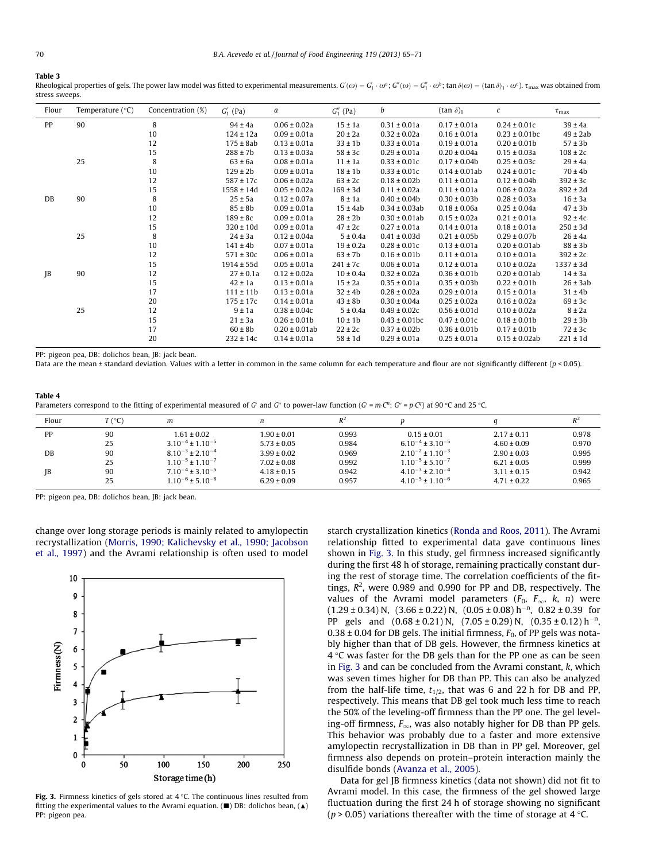#### <span id="page-5-0"></span>Table 3

Rheological properties of gels. The power law model was fitted to experimental measurements.  $G'(\omega)=G'_1\cdot\omega^a;$   $G''(\omega)=G''_1\cdot\omega^b;$  tan  $\delta(\omega)=(\tan\delta)_1\cdot\omega^c.$   $\pi_{\text{max}}$  was obtained from stress sweeps.

| Flour | Temperature $(^{\circ}C)$ | Concentration (%) | $G'_{1}$ (Pa)  | a                  | $G_1''$ (Pa)  | b                  | $(\tan \delta)_1$  | $\mathcal C$       | $\tau_{\rm max}$ |
|-------|---------------------------|-------------------|----------------|--------------------|---------------|--------------------|--------------------|--------------------|------------------|
| PP    | 90                        | 8                 | $94 \pm 4a$    | $0.06 \pm 0.02a$   | $15 \pm 1a$   | $0.31 \pm 0.01a$   | $0.17 \pm 0.01a$   | $0.24 \pm 0.01c$   | $39 \pm 4a$      |
|       |                           | 10                | $124 \pm 12a$  | $0.09 \pm 0.01a$   | $20 \pm 2a$   | $0.32 \pm 0.02a$   | $0.16 \pm 0.01a$   | $0.23 \pm 0.01$ bc | $49 \pm 2ab$     |
|       |                           | 12                | $175 \pm 8ab$  | $0.13 \pm 0.01a$   | $33 \pm 1b$   | $0.33 \pm 0.01a$   | $0.19 \pm 0.01a$   | $0.20 \pm 0.01$    | $57 \pm 3b$      |
|       |                           | 15                | $288 \pm 7b$   | $0.13 \pm 0.03a$   | $58 \pm 3c$   | $0.29 \pm 0.01a$   | $0.20 \pm 0.04a$   | $0.15 \pm 0.03a$   | $108 \pm 2c$     |
|       | 25                        | 8                 | $63 \pm 6a$    | $0.08 \pm 0.01a$   | $11 \pm 1a$   | $0.33 \pm 0.01c$   | $0.17 \pm 0.04$ b  | $0.25 \pm 0.03c$   | $29 \pm 4a$      |
|       |                           | 10                | $129 \pm 2b$   | $0.09 \pm 0.01a$   | $18 \pm 1b$   | $0.33 \pm 0.01c$   | $0.14 \pm 0.01$ ab | $0.24 \pm 0.01c$   | $70 \pm 4b$      |
|       |                           | 12                | $587 \pm 17c$  | $0.06 \pm 0.02a$   | $63 \pm 2c$   | $0.18 \pm 0.02b$   | $0.11 \pm 0.01a$   | $0.12 \pm 0.04b$   | $392 \pm 3c$     |
|       |                           | 15                | $1558 \pm 14d$ | $0.05 \pm 0.02a$   | $169 \pm 3d$  | $0.11 \pm 0.02a$   | $0.11 \pm 0.01a$   | $0.06 \pm 0.02a$   | $892 \pm 2d$     |
| DB    | 90                        | 8                 | $25 \pm 5a$    | $0.12 \pm 0.07a$   | $8 \pm 1a$    | $0.40 \pm 0.04b$   | $0.30 \pm 0.03b$   | $0.28 \pm 0.03a$   | $16 \pm 3a$      |
|       |                           | 10                | $85 \pm 8b$    | $0.09 \pm 0.01a$   | $15 \pm 4ab$  | $0.34 \pm 0.03$ ab | $0.18 \pm 0.06a$   | $0.25 \pm 0.04a$   | $47 \pm 3b$      |
|       |                           | 12                | $189 \pm 8c$   | $0.09 \pm 0.01a$   | $28 \pm 2b$   | $0.30 \pm 0.01$ ab | $0.15 \pm 0.02a$   | $0.21 \pm 0.01a$   | $92 \pm 4c$      |
|       |                           | 15                | $320 \pm 10d$  | $0.09 \pm 0.01a$   | $47 \pm 2c$   | $0.27 \pm 0.01a$   | $0.14 \pm 0.01a$   | $0.18 \pm 0.01a$   | $250 \pm 3d$     |
|       | 25                        | 8                 | $24 \pm 3a$    | $0.12 \pm 0.04a$   | $5 \pm 0.4a$  | $0.41 \pm 0.03d$   | $0.21 \pm 0.05b$   | $0.29 \pm 0.07$ b  | $26 \pm 4a$      |
|       |                           | 10                | $141 \pm 4b$   | $0.07 \pm 0.01a$   | $19 \pm 0.2a$ | $0.28 \pm 0.01c$   | $0.13 \pm 0.01a$   | $0.20 \pm 0.01$ ab | $88 \pm 3b$      |
|       |                           | 12                | $571 \pm 30c$  | $0.06 \pm 0.01a$   | $63 \pm 7b$   | $0.16 \pm 0.01$    | $0.11 \pm 0.01a$   | $0.10 \pm 0.01a$   | $392 \pm 2c$     |
|       |                           | 15                | $1914 \pm 55d$ | $0.05 \pm 0.01a$   | $241 \pm 7c$  | $0.06 \pm 0.01a$   | $0.12 \pm 0.01a$   | $0.10 \pm 0.02a$   | $1337 \pm 3d$    |
| JB    | 90                        | 12                | $27 \pm 0.1a$  | $0.12 \pm 0.02a$   | $10 \pm 0.4a$ | $0.32 \pm 0.02a$   | $0.36 \pm 0.01$ b  | $0.20 \pm 0.01$ ab | $14 \pm 3a$      |
|       |                           | 15                | $42 \pm 1a$    | $0.13 \pm 0.01a$   | $15 \pm 2a$   | $0.35 \pm 0.01a$   | $0.35 \pm 0.03b$   | $0.22 \pm 0.01$    | $26 \pm 3ab$     |
|       |                           | 17                | $111 \pm 11b$  | $0.13 \pm 0.01a$   | $32 \pm 4b$   | $0.28 \pm 0.02a$   | $0.29 \pm 0.01a$   | $0.15 \pm 0.01a$   | $31 \pm 4b$      |
|       |                           | 20                | $175 \pm 17c$  | $0.14 \pm 0.01a$   | $43 \pm 8b$   | $0.30 \pm 0.04a$   | $0.25 \pm 0.02a$   | $0.16 \pm 0.02a$   | $69 \pm 3c$      |
|       | 25                        | 12                | $9 \pm 1a$     | $0.38 \pm 0.04c$   | $5 \pm 0.4a$  | $0.49 \pm 0.02c$   | $0.56 \pm 0.01d$   | $0.10 \pm 0.02a$   | $8 \pm 2a$       |
|       |                           | 15                | $21 \pm 3a$    | $0.26 \pm 0.01$    | $10 \pm 1$    | $0.43 \pm 0.01$ bc | $0.47 \pm 0.01c$   | $0.18 \pm 0.01$    | $29 \pm 3b$      |
|       |                           | 17                | $60 \pm 8b$    | $0.20 \pm 0.01$ ab | $22 \pm 2c$   | $0.37 \pm 0.02b$   | $0.36 \pm 0.01b$   | $0.17 \pm 0.01$    | $72 \pm 3c$      |
|       |                           | 20                | $232 \pm 14c$  | $0.14 \pm 0.01a$   | $58 \pm 1d$   | $0.29 \pm 0.01a$   | $0.25 \pm 0.01a$   | $0.15 \pm 0.02$ ab | $221 \pm 1d$     |

PP: pigeon pea, DB: dolichos bean, JB: jack bean.

Data are the mean ± standard deviation. Values with a letter in common in the same column for each temperature and flour are not significantly different ( $p$  < 0.05).

#### Table 4

| Parameters correspond to the fitting of experimental measured of G' and G'' to power-law function (G' = m·C"; G'' = p·C") at 90 °C and 25 °C. |  |
|-----------------------------------------------------------------------------------------------------------------------------------------------|--|
|-----------------------------------------------------------------------------------------------------------------------------------------------|--|

| Flour     | T (°C) | m                                |                 | $R^2$ |                           |                 | $R^2$ |
|-----------|--------|----------------------------------|-----------------|-------|---------------------------|-----------------|-------|
| PP        | 90     | $1.61 \pm 0.02$                  | $1.90 \pm 0.01$ | 0.993 | $0.15 \pm 0.01$           | $2.17 \pm 0.11$ | 0.978 |
|           | 25     | $3.10^{-4} \pm 1.10^{-5}$        | $5.73 \pm 0.05$ | 0.984 | $6.10^{-4} \pm 3.10^{-5}$ | $4.60 \pm 0.09$ | 0.970 |
| DB        | 90     | $8.10^{-3}$ + 2.10 <sup>-4</sup> | $3.99 \pm 0.02$ | 0.969 | $2.10^{-2} \pm 1.10^{-3}$ | $2.90 \pm 0.03$ | 0.995 |
|           | 25     | $1.10^{-5} \pm 1.10^{-7}$        | $7.02 \pm 0.08$ | 0.992 | $1.10^{-5} \pm 5.10^{-7}$ | $6.21 \pm 0.05$ | 0.999 |
| <b>IB</b> | 90     | $7.10^{-4} \pm 3.10^{-5}$        | $4.18 \pm 0.15$ | 0.942 | $4.10^{-3} \pm 2.10^{-4}$ | $3.11 \pm 0.15$ | 0.942 |
|           | 25     | $1.10^{-6} \pm 5.10^{-8}$        | $6.29 \pm 0.09$ | 0.957 | $4.10^{-5} \pm 1.10^{-6}$ | $4.71 \pm 0.22$ | 0.965 |
|           |        |                                  |                 |       |                           |                 |       |

PP: pigeon pea, DB: dolichos bean, JB: jack bean.

change over long storage periods is mainly related to amylopectin recrystallization ([Morris, 1990; Kalichevsky et al., 1990; Jacobson](#page-6-0) [et al., 1997](#page-6-0)) and the Avrami relationship is often used to model



Fig. 3. Firmness kinetics of gels stored at  $4^{\circ}$ C. The continuous lines resulted from fitting the experimental values to the Avrami equation. ( $\blacksquare$ ) DB: dolichos bean, ( $\blacktriangle$ ) PP: pigeon pea.

starch crystallization kinetics [\(Ronda and Roos, 2011\)](#page-6-0). The Avrami relationship fitted to experimental data gave continuous lines shown in Fig. 3. In this study, gel firmness increased significantly during the first 48 h of storage, remaining practically constant during the rest of storage time. The correlation coefficients of the fittings,  $R^2$ , were 0.989 and 0.990 for PP and DB, respectively. The values of the Avrami model parameters ( $F_0$ ,  $F_{\infty}$ , k, n) were  $(1.29 \pm 0.34)$  N,  $(3.66 \pm 0.22)$  N,  $(0.05 \pm 0.08)$  h<sup>-n</sup>,  $0.82 \pm 0.39$  for PP gels and  $(0.68 \pm 0.21)$  N,  $(7.05 \pm 0.29)$  N,  $(0.35 \pm 0.12)$  h<sup>-n</sup>,  $0.38 \pm 0.04$  for DB gels. The initial firmness,  $F_0$ , of PP gels was notably higher than that of DB gels. However, the firmness kinetics at  $4^{\circ}$ C was faster for the DB gels than for the PP one as can be seen in Fig. 3 and can be concluded from the Avrami constant,  $k$ , which was seven times higher for DB than PP. This can also be analyzed from the half-life time,  $t_{1/2}$ , that was 6 and 22 h for DB and PP, respectively. This means that DB gel took much less time to reach the 50% of the leveling-off firmness than the PP one. The gel leveling-off firmness,  $F_{\infty}$ , was also notably higher for DB than PP gels. This behavior was probably due to a faster and more extensive amylopectin recrystallization in DB than in PP gel. Moreover, gel firmness also depends on protein–protein interaction mainly the disulfide bonds [\(Avanza et al., 2005](#page-6-0)).

Data for gel JB firmness kinetics (data not shown) did not fit to Avrami model. In this case, the firmness of the gel showed large fluctuation during the first 24 h of storage showing no significant (p > 0.05) variations thereafter with the time of storage at 4 °C.